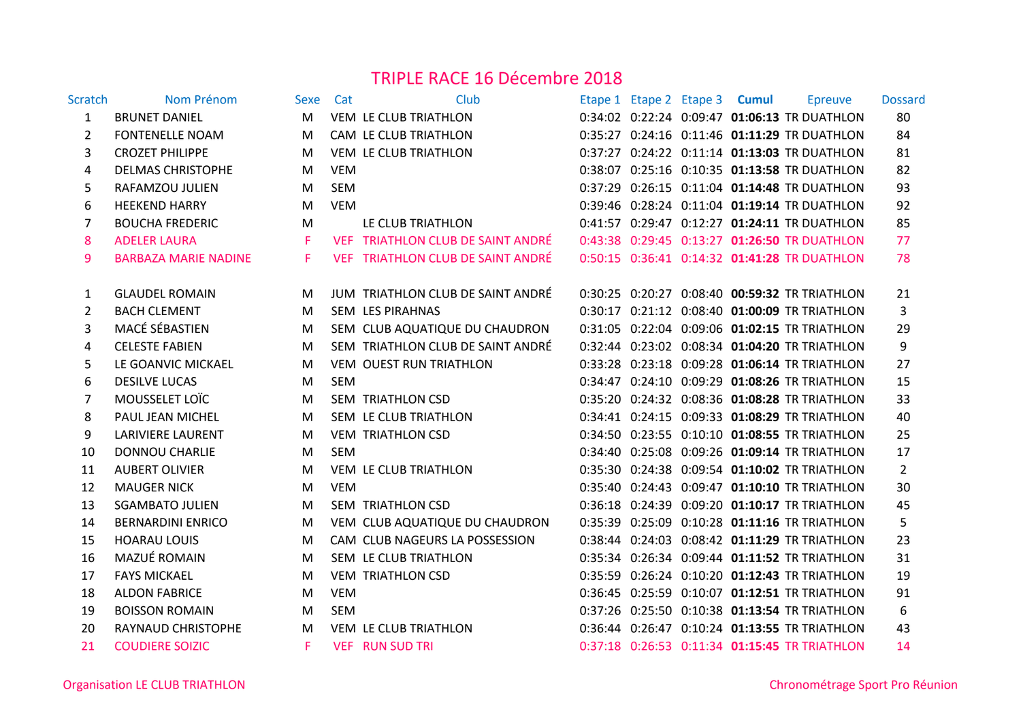## TRIPLE RACE 16 Décembre 2018

| Scratch        | Nom Prénom                  | Sexe | Cat        | Club                              |  | Etape 1 Etape 2 Etape 3 Cumul | Epreuve                                           | <b>Dossard</b>   |
|----------------|-----------------------------|------|------------|-----------------------------------|--|-------------------------------|---------------------------------------------------|------------------|
| 1              | <b>BRUNET DANIEL</b>        | M    |            | VEM LE CLUB TRIATHLON             |  |                               | 0:34:02 0:22:24 0:09:47 01:06:13 TR DUATHLON      | 80               |
| $\overline{2}$ | <b>FONTENELLE NOAM</b>      | M    |            | CAM LE CLUB TRIATHLON             |  |                               | 0:35:27 0:24:16 0:11:46 01:11:29 TR DUATHLON      | 84               |
| 3              | <b>CROZET PHILIPPE</b>      | M    |            | VEM LE CLUB TRIATHLON             |  |                               | 0:37:27 0:24:22 0:11:14 01:13:03 TR DUATHLON      | 81               |
| 4              | <b>DELMAS CHRISTOPHE</b>    | M    | <b>VEM</b> |                                   |  |                               | 0:38:07 0:25:16 0:10:35 01:13:58 TR DUATHLON      | 82               |
| 5              | RAFAMZOU JULIEN             | M    | <b>SEM</b> |                                   |  |                               | 0:37:29 0:26:15 0:11:04 01:14:48 TR DUATHLON      | 93               |
| 6              | <b>HEEKEND HARRY</b>        | M    | <b>VEM</b> |                                   |  |                               | 0:39:46 0:28:24 0:11:04 01:19:14 TR DUATHLON      | 92               |
| $\overline{7}$ | <b>BOUCHA FREDERIC</b>      | M    |            | LE CLUB TRIATHLON                 |  |                               | 0:41:57 0:29:47 0:12:27 01:24:11 TR DUATHLON      | 85               |
| 8              | <b>ADELER LAURA</b>         | F.   |            | VEF TRIATHLON CLUB DE SAINT ANDRÉ |  |                               | 0:43:38 0:29:45 0:13:27 01:26:50 TR DUATHLON      | 77               |
| 9              | <b>BARBAZA MARIE NADINE</b> | F.   |            | VEF TRIATHLON CLUB DE SAINT ANDRÉ |  |                               | 0:50:15  0:36:41  0:14:32  01:41:28  TR DUATHLON  | 78               |
|                |                             |      |            |                                   |  |                               |                                                   |                  |
| 1              | <b>GLAUDEL ROMAIN</b>       | M    |            | JUM TRIATHLON CLUB DE SAINT ANDRÉ |  |                               | 0:30:25 0:20:27 0:08:40 00:59:32 TR TRIATHLON     | 21               |
| $\overline{2}$ | <b>BACH CLEMENT</b>         | M    |            | SEM LES PIRAHNAS                  |  |                               | 0:30:17 0:21:12 0:08:40 01:00:09 TR TRIATHLON     | 3                |
| 3              | MACÉ SÉBASTIEN              | M    |            | SEM CLUB AQUATIQUE DU CHAUDRON    |  |                               | 0:31:05  0:22:04  0:09:06  01:02:15  TR TRIATHLON | 29               |
| 4              | <b>CELESTE FABIEN</b>       | M    |            | SEM TRIATHLON CLUB DE SAINT ANDRÉ |  |                               | 0:32:44 0:23:02 0:08:34 01:04:20 TR TRIATHLON     | $\boldsymbol{9}$ |
| 5              | LE GOANVIC MICKAEL          | M    |            | VEM OUEST RUN TRIATHLON           |  |                               | 0:33:28 0:23:18 0:09:28 01:06:14 TR TRIATHLON     | 27               |
| 6              | <b>DESILVE LUCAS</b>        | M    | <b>SEM</b> |                                   |  |                               | 0:34:47 0:24:10 0:09:29 01:08:26 TR TRIATHLON     | 15               |
| $\overline{7}$ | MOUSSELET LOÏC              | M    |            | SEM TRIATHLON CSD                 |  |                               | 0:35:20 0:24:32 0:08:36 01:08:28 TR TRIATHLON     | 33               |
| 8              | PAUL JEAN MICHEL            | M    |            | SEM LE CLUB TRIATHLON             |  |                               | 0:34:41 0:24:15 0:09:33 01:08:29 TR TRIATHLON     | 40               |
| 9              | <b>LARIVIERE LAURENT</b>    | M    |            | <b>VEM TRIATHLON CSD</b>          |  |                               | 0:34:50 0:23:55 0:10:10 01:08:55 TR TRIATHLON     | 25               |
| 10             | <b>DONNOU CHARLIE</b>       | M    | <b>SEM</b> |                                   |  |                               | 0:34:40 0:25:08 0:09:26 01:09:14 TR TRIATHLON     | 17               |
| 11             | <b>AUBERT OLIVIER</b>       | M    |            | VEM LE CLUB TRIATHLON             |  |                               | 0:35:30 0:24:38 0:09:54 01:10:02 TR TRIATHLON     | $\overline{2}$   |
| 12             | <b>MAUGER NICK</b>          | M    | <b>VEM</b> |                                   |  |                               | 0:35:40 0:24:43 0:09:47 01:10:10 TR TRIATHLON     | 30               |
| 13             | <b>SGAMBATO JULIEN</b>      | M    |            | SEM TRIATHLON CSD                 |  |                               | 0:36:18 0:24:39 0:09:20 01:10:17 TR TRIATHLON     | 45               |
| 14             | <b>BERNARDINI ENRICO</b>    | M    |            | VEM CLUB AQUATIQUE DU CHAUDRON    |  |                               | 0:35:39 0:25:09 0:10:28 01:11:16 TR TRIATHLON     | 5                |
| 15             | <b>HOARAU LOUIS</b>         | M    |            | CAM CLUB NAGEURS LA POSSESSION    |  |                               | 0:38:44 0:24:03 0:08:42 01:11:29 TR TRIATHLON     | 23               |
| 16             | MAZUÉ ROMAIN                | M    |            | SEM LE CLUB TRIATHLON             |  |                               | 0:35:34 0:26:34 0:09:44 01:11:52 TR TRIATHLON     | 31               |
| 17             | <b>FAYS MICKAEL</b>         | M    |            | <b>VEM TRIATHLON CSD</b>          |  |                               | 0:35:59 0:26:24 0:10:20 01:12:43 TR TRIATHLON     | 19               |
| 18             | <b>ALDON FABRICE</b>        | M    | <b>VEM</b> |                                   |  |                               | 0:36:45 0:25:59 0:10:07 01:12:51 TR TRIATHLON     | 91               |
| 19             | <b>BOISSON ROMAIN</b>       | M    | <b>SEM</b> |                                   |  |                               | 0:37:26 0:25:50 0:10:38 01:13:54 TR TRIATHLON     | 6                |
| 20             | RAYNAUD CHRISTOPHE          | M    |            | VEM LE CLUB TRIATHLON             |  |                               | 0:36:44 0:26:47 0:10:24 01:13:55 TR TRIATHLON     | 43               |
| 21             | <b>COUDIERE SOIZIC</b>      | F.   |            | <b>VEF RUN SUD TRI</b>            |  |                               | 0:37:18  0:26:53  0:11:34  01:15:45  TR TRIATHLON | 14               |